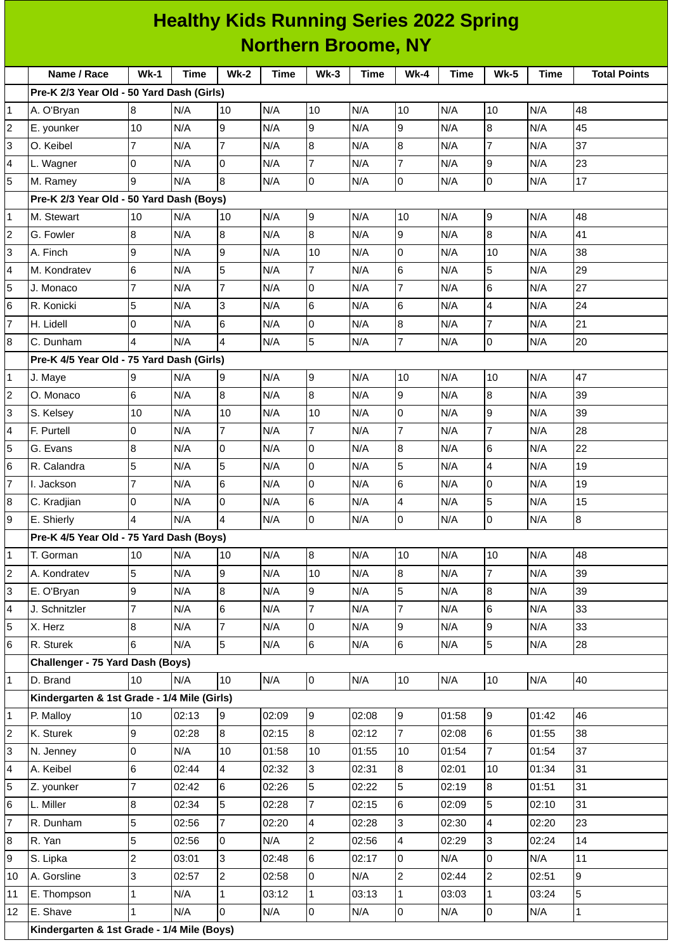|                | <b>Healthy Kids Running Series 2022 Spring</b><br><b>Northern Broome, NY</b> |                |       |                 |       |                 |             |                 |             |                     |       |                     |
|----------------|------------------------------------------------------------------------------|----------------|-------|-----------------|-------|-----------------|-------------|-----------------|-------------|---------------------|-------|---------------------|
|                |                                                                              |                |       |                 |       |                 |             |                 |             |                     |       |                     |
|                | Name / Race                                                                  | $Wk-1$         | Time  | $Wk-2$          | Time  | <b>Wk-3</b>     | <b>Time</b> | <b>Wk-4</b>     | <b>Time</b> | <b>Wk-5</b>         | Time  | <b>Total Points</b> |
|                | Pre-K 2/3 Year Old - 50 Yard Dash (Girls)                                    |                |       |                 |       |                 |             |                 |             |                     |       |                     |
| 1              | A. O'Bryan                                                                   | 8              | N/A   | 10              | N/A   | 10              | N/A         | 10              | N/A         | 10                  | N/A   | 48                  |
| 2              | E. younker                                                                   | 10             | N/A   | 9               | N/A   | 9               | N/A         | 9               | N/A         | 8                   | N/A   | 45                  |
| 3              | O. Keibel                                                                    | 7              | N/A   | $\overline{7}$  | N/A   | 8               | N/A         | 8               | N/A         | $\overline{7}$      | N/A   | 37                  |
| 4              | L. Wagner                                                                    | 0              | N/A   | 0               | N/A   | $\overline{7}$  | N/A         | 7               | N/A         | 9                   | N/A   | 23                  |
| 5              | M. Ramey                                                                     | 9              | N/A   | 8               | N/A   | O               | N/A         | 0               | N/A         | 0                   | N/A   | 17                  |
|                | Pre-K 2/3 Year Old - 50 Yard Dash (Boys)                                     |                |       |                 |       |                 |             |                 |             |                     |       |                     |
| 1              | M. Stewart                                                                   | 10             | N/A   | 10              | N/A   | 9               | N/A         | 10              | N/A         | 9                   | N/A   | 48                  |
| 2              | G. Fowler                                                                    | 8              | N/A   | 8               | N/A   | 8               | N/A         | 9               | N/A         | 8                   | N/A   | 41                  |
| 3              | A. Finch                                                                     | 9              | N/A   | 9               | N/A   | 10              | N/A         | 0               | N/A         | 10                  | N/A   | 38                  |
| 4              | M. Kondratev                                                                 | 6              | N/A   | 5               | N/A   | 7               | N/A         | 6               | N/A         | 5                   | N/A   | 29                  |
| 5              | J. Monaco                                                                    | $\overline{7}$ | N/A   | $\overline{7}$  | N/A   | 0               | N/A         | 7               | N/A         | 6                   | N/A   | 27                  |
| 6              | R. Konicki                                                                   | 5              | N/A   | 3               | N/A   | $6\phantom{.}6$ | N/A         | 6               | N/A         | 4                   | N/A   | 24                  |
| $\overline{7}$ | H. Lidell                                                                    | 0              | N/A   | 6               | N/A   | 0               | N/A         | 8               | N/A         | $\overline{7}$      | N/A   | 21                  |
| 8              | C. Dunham                                                                    | 4              | N/A   | $\overline{4}$  | N/A   | 5               | N/A         | 7               | N/A         | $\mathsf 0$         | N/A   | 20                  |
|                | Pre-K 4/5 Year Old - 75 Yard Dash (Girls)                                    |                |       |                 |       |                 |             |                 |             |                     |       |                     |
| 1              | J. Maye                                                                      | 9              | N/A   | 9               | N/A   | 9               | N/A         | 10              | N/A         | 10                  | N/A   | 47                  |
| 2              | O. Monaco                                                                    | 6              | N/A   | $\bf{8}$        | N/A   | 8               | N/A         | 9               | N/A         | 8                   | N/A   | 39                  |
| 3              | S. Kelsey                                                                    | 10             | N/A   | 10              | N/A   | 10              | N/A         | 0               | N/A         | 9                   | N/A   | 39                  |
| 4              | F. Purtell                                                                   | 0              | N/A   | $\overline{7}$  | N/A   | 7               | N/A         | 7               | N/A         | $\overline{7}$      | N/A   | 28                  |
| 5              | G. Evans                                                                     | 8              | N/A   | $\overline{0}$  | N/A   | l0              | N/A         | $\bf{8}$        | N/A         | 6                   | N/A   | 22                  |
| 6              | R. Calandra                                                                  | 5              | N/A   | 5               | N/A   | 0               | N/A         | 5               | N/A         | 4                   | N/A   | 19                  |
| 7              | I. Jackson                                                                   | 7              | N/A   | 6               | N/A   | 0               | N/A         | 6               | N/A         | 0                   | N/A   | 19                  |
| 8              | C. Kradjian                                                                  | 0              | N/A   | 0               | N/A   | 6               | N/A         | $\overline{4}$  | N/A         | 5                   | N/A   | 15                  |
| 9              | E. Shierly                                                                   | $\overline{4}$ | N/A   | $\overline{4}$  | N/A   | $\overline{0}$  | N/A         | 0               | N/A         | $\mathsf{O}$        | N/A   | $\bf{8}$            |
|                | Pre-K 4/5 Year Old - 75 Yard Dash (Boys)                                     |                |       |                 |       |                 |             |                 |             |                     |       |                     |
| 1              | T. Gorman                                                                    | 10             | N/A   | 10              | N/A   | 8               | N/A         | 10              | N/A         | 10                  | N/A   | 48                  |
| 2              | A. Kondratev                                                                 | 5              | N/A   | 9               | N/A   | 10              | N/A         | $8\,$           | N/A         | $\overline{7}$      | N/A   | 39                  |
| 3              | E. O'Bryan                                                                   | 9              | N/A   | 8               | N/A   | 9               | N/A         | 5               | N/A         | 8                   | N/A   | 39                  |
| 4              | J. Schnitzler                                                                | $\overline{7}$ | N/A   | $6\phantom{.}6$ | N/A   | $\overline{7}$  | N/A         | $\overline{7}$  | N/A         | 6                   | N/A   | 33                  |
| 5              | X. Herz                                                                      | 8              | N/A   | $\overline{7}$  | N/A   | $\overline{0}$  | N/A         | $\overline{9}$  | N/A         | 9                   | N/A   | 33                  |
| 6              | R. Sturek                                                                    | 6              | N/A   | 5               | N/A   | $6\overline{6}$ | N/A         | $6\overline{6}$ | N/A         | 5                   | N/A   | 28                  |
|                | Challenger - 75 Yard Dash (Boys)                                             |                |       |                 |       |                 |             |                 |             |                     |       |                     |
| 1              | D. Brand                                                                     | 10             | N/A   | 10              | N/A   | $\overline{0}$  | N/A         | 10              | N/A         | 10                  | N/A   | 40                  |
|                | Kindergarten & 1st Grade - 1/4 Mile (Girls)                                  |                |       |                 |       |                 |             |                 |             |                     |       |                     |
| 1              | P. Malloy                                                                    | 10             | 02:13 | 9               | 02:09 | 9               | 02:08       | 9               | 01:58       | 9                   | 01:42 | 46                  |
| 2              | K. Sturek                                                                    | 9              | 02:28 | $\overline{8}$  | 02:15 | $8\,$           | 02:12       | $\overline{7}$  | 02:08       | 6                   | 01:55 | 38                  |
| 3              | N. Jenney                                                                    | 0              | N/A   | 10              | 01:58 | 10              | 01:55       | 10              | 01:54       | $\overline{7}$      | 01:54 | 37                  |
| 4              | A. Keibel                                                                    | 6              | 02:44 | $\overline{4}$  | 02:32 | 3               | 02:31       | 8               | 02:01       | 10                  | 01:34 | 31                  |
| 5              | Z. younker                                                                   | $\overline{7}$ | 02:42 | $6\phantom{a}$  | 02:26 | 5               | 02:22       | 5               | 02:19       | 8                   | 01:51 | 31                  |
| 6              | L. Miller                                                                    | 8              | 02:34 | 5               | 02:28 | $\overline{7}$  | 02:15       | 6               | 02:09       | 5                   | 02:10 | 31                  |
| 7              | R. Dunham                                                                    | 5              | 02:56 | $\overline{7}$  | 02:20 | $\overline{4}$  | 02:28       | $\overline{3}$  | 02:30       | 4                   | 02:20 | 23                  |
| 8              | R. Yan                                                                       | 5              | 02:56 | $\overline{0}$  | N/A   | $\overline{c}$  | 02:56       | 4               | 02:29       | 3                   | 02:24 | 14                  |
| 9              | S. Lipka                                                                     | $\overline{c}$ | 03:01 | 3               | 02:48 | 6               | 02:17       | $\overline{0}$  | N/A         | $\overline{0}$      | N/A   | 11                  |
| 10             | A. Gorsline                                                                  | 3              | 02:57 | $\overline{2}$  | 02:58 | $\mathsf{O}$    | N/A         | $\overline{c}$  | 02:44       | $\overline{2}$      | 02:51 | 9                   |
| 11             | E. Thompson                                                                  | 1              | N/A   | $\mathbf{1}$    | 03:12 | $\mathbf 1$     | 03:13       | $\mathbf{1}$    | 03:03       | $\mathbf{1}$        | 03:24 | 5                   |
| 12             | E. Shave                                                                     | $\mathbf 1$    | N/A   | 0               | N/A   | $\overline{0}$  | N/A         | 0               | N/A         | $\mathsf{O}\xspace$ | N/A   | $\overline{1}$      |
|                |                                                                              |                |       |                 |       |                 |             |                 |             |                     |       |                     |

**Kindergarten & 1st Grade - 1/4 Mile (Boys)**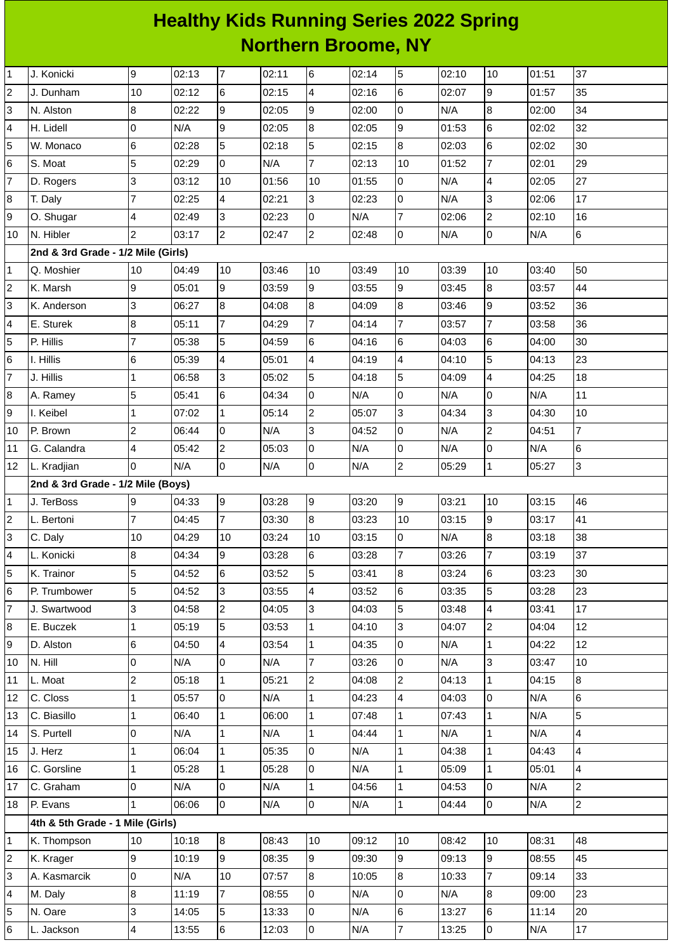## **Healthy Kids Running Series 2022 Spring Northern Broome, NY**

| $\mathbf{1}$   | J. Konicki                         | 9                        | 02:13 | $\overline{7}$          | 02:11 | 6                       | 02:14 | 5              | 02:10 | 10                       | 01:51 | 37              |
|----------------|------------------------------------|--------------------------|-------|-------------------------|-------|-------------------------|-------|----------------|-------|--------------------------|-------|-----------------|
| $\overline{c}$ | J. Dunham                          | 10                       | 02:12 | 6                       | 02:15 | $\overline{\mathbf{4}}$ | 02:16 | 6              | 02:07 | 9                        | 01:57 | 35              |
| 3              | N. Alston                          | 8                        | 02:22 | g                       | 02:05 | 9                       | 02:00 | l0             | N/A   | 8                        | 02:00 | 34              |
| 4              | H. Lidell                          | 0                        | N/A   | $\overline{9}$          | 02:05 | $\overline{8}$          | 02:05 | 9              | 01:53 | 6                        | 02:02 | 32              |
| 5              | W. Monaco                          | $\,6$                    | 02:28 | 5                       | 02:18 | 5                       | 02:15 | $\overline{8}$ | 02:03 | $\,6$                    | 02:02 | 30              |
| 6              | S. Moat                            | 5                        | 02:29 | l0                      | N/A   | $\overline{7}$          | 02:13 | 10             | 01:52 | $\overline{7}$           | 02:01 | 29              |
| $\overline{7}$ | D. Rogers                          | 3                        | 03:12 | 10                      | 01:56 | 10                      | 01:55 | l0             | N/A   | 4                        | 02:05 | 27              |
| 8              | T. Daly                            | $\overline{7}$           | 02:25 | $\overline{\mathbf{4}}$ | 02:21 | 3                       | 02:23 | 0              | N/A   | 3                        | 02:06 | 17              |
| 9              | O. Shugar                          | $\overline{a}$           | 02:49 | 3                       | 02:23 | 0                       | N/A   | $\overline{7}$ | 02:06 | $\overline{c}$           | 02:10 | 16              |
| 10             | N. Hibler                          | $\overline{2}$           | 03:17 | $\overline{2}$          | 02:47 | $\overline{2}$          | 02:48 | l0             | N/A   | 0                        | N/A   | $6\phantom{a}$  |
|                | 2nd & 3rd Grade - 1/2 Mile (Girls) |                          |       |                         |       |                         |       |                |       |                          |       |                 |
| $\mathbf{1}$   | Q. Moshier                         | 10                       | 04:49 | 10                      | 03:46 | 10                      | 03:49 | 10             | 03:39 | 10                       | 03:40 | 50              |
| $\mathbf 2$    | K. Marsh                           | 9                        | 05:01 | 9                       | 03:59 | 9                       | 03:55 | 9              | 03:45 | $\bf{8}$                 | 03:57 | 44              |
| 3              | K. Anderson                        | 3                        | 06:27 | 8                       | 04:08 | 8                       | 04:09 | 8              | 03:46 | 9                        | 03:52 | 36              |
| 4              | E. Sturek                          | 8                        | 05:11 | $\overline{7}$          | 04:29 | $\overline{7}$          | 04:14 | $\overline{7}$ | 03:57 | $\overline{7}$           | 03:58 | 36              |
| 5              | P. Hillis                          | 7                        | 05:38 | 5                       | 04:59 | 6                       | 04:16 | 6              | 04:03 | 6                        | 04:00 | 30              |
| 6              | I. Hillis                          | 6                        | 05:39 | $\overline{\mathbf{4}}$ | 05:01 | $\overline{4}$          | 04:19 | $\overline{4}$ | 04:10 | 5                        | 04:13 | 23              |
| $\overline{7}$ | J. Hillis                          | $\mathbf{1}$             | 06:58 | l3                      | 05:02 | 5                       | 04:18 | 5              | 04:09 | $\overline{\mathcal{L}}$ | 04:25 | 18              |
| 8              | A. Ramey                           | 5                        | 05:41 | 6                       | 04:34 | 0                       | N/A   | O              | N/A   | $\mathsf{O}$             | N/A   | 11              |
| 9              | I. Keibel                          | 1                        | 07:02 | $\mathbf 1$             | 05:14 | $\overline{2}$          | 05:07 | Iз             | 04:34 | 3                        | 04:30 | 10              |
| 10             | P. Brown                           | $\overline{c}$           | 06:44 | l0                      | N/A   | 3                       | 04:52 | 0              | N/A   | $\overline{c}$           | 04:51 | $\overline{7}$  |
| 11             | G. Calandra                        | $\overline{\mathbf{4}}$  | 05:42 | $\overline{c}$          | 05:03 | 0                       | N/A   | l0             | N/A   | $\mathsf 0$              | N/A   | 6               |
| 12             | L. Kradjian                        | l0                       | N/A   | l0                      | N/A   | l0                      | N/A   | $\overline{2}$ | 05:29 | $\mathbf{1}$             | 05:27 | $\overline{3}$  |
|                | 2nd & 3rd Grade - 1/2 Mile (Boys)  |                          |       |                         |       |                         |       |                |       |                          |       |                 |
| $\mathbf 1$    | J. TerBoss                         | 9                        | 04:33 | 9                       | 03:28 | l9                      | 03:20 | 9              | 03:21 | 10                       | 03:15 | 46              |
| $\overline{c}$ | L. Bertoni                         | $\overline{7}$           | 04:45 | $\overline{7}$          | 03:30 | 8                       | 03:23 | 10             | 03:15 | 9                        | 03:17 | 41              |
| 3              | C. Daly                            | 10                       | 04:29 | 10                      | 03:24 | 10                      | 03:15 | lo             | N/A   | 8                        | 03:18 | 38              |
| 4              | L. Konicki                         | 8                        | 04:34 | g                       | 03:28 | $6\phantom{.}6$         | 03:28 | $\overline{7}$ | 03:26 | $\overline{7}$           | 03:19 | 37              |
| 5              | K. Trainor                         | 5                        | 04:52 | 6                       | 03:52 | 5                       | 03:41 | 8              | 03:24 | 6                        | 03:23 | 30              |
| 6              | P. Trumbower                       | 5                        | 04:52 | 3                       | 03:55 | 4                       | 03:52 | 6              | 03:35 | 5                        | 03:28 | 23              |
| $\overline{7}$ | J. Swartwood                       | 3                        | 04:58 | $\overline{c}$          | 04:05 | 3                       | 04:03 | 5              | 03:48 | $\overline{4}$           | 03:41 | 17              |
| 8              | E. Buczek                          | $\mathbf{1}$             | 05:19 | 5                       | 03:53 | $\mathbf{1}$            | 04:10 | Iз             | 04:07 | $\overline{2}$           | 04:04 | 12              |
| 9              | D. Alston                          | 6                        | 04:50 | $\overline{\mathbf{4}}$ | 03:54 | $\overline{1}$          | 04:35 | l0             | N/A   | $\mathbf{1}$             | 04:22 | 12              |
| 10             | N. Hill                            | 0                        | N/A   | 0                       | N/A   | $\overline{7}$          | 03:26 | 0              | N/A   | 3                        | 03:47 | 10              |
| $11\,$         | L. Moat                            | $\overline{c}$           | 05:18 | $\mathbf{1}$            | 05:21 | $\overline{c}$          | 04:08 | $\overline{2}$ | 04:13 | $\mathbf{1}$             | 04:15 | 8               |
| 12             | C. Closs                           | $\mathbf{1}$             | 05:57 | Iо                      | N/A   | $\mathbf{1}$            | 04:23 | $\overline{4}$ | 04:03 | l0                       | N/A   | $6\overline{6}$ |
| 13             | C. Biasillo                        | $\mathbf{1}$             | 06:40 | $\vert$ 1               | 06:00 | $\mathbf{1}$            | 07:48 | $\overline{1}$ | 07:43 | $\mathbf{1}$             | N/A   | 5               |
| 14             | S. Purtell                         | $\mathsf{O}$             | N/A   | $\mathbf{1}$            | N/A   | $\mathbf{1}$            | 04:44 | $\overline{1}$ | N/A   | $\mathbf{1}$             | N/A   | 4               |
| 15             | J. Herz                            | $\mathbf{1}$             | 06:04 | $\mathbf{1}$            | 05:35 | l0                      | N/A   | 1              | 04:38 | $\mathbf{1}$             | 04:43 | 4               |
| 16             | C. Gorsline                        | $\mathbf{1}$             | 05:28 | $\mathbf{1}$            | 05:28 | 0                       | N/A   | 1              | 05:09 | $\mathbf{1}$             | 05:01 | $\overline{4}$  |
| 17             | C. Graham                          | O                        | N/A   | l0                      | N/A   | $\mathbf{1}$            | 04:56 | $\overline{1}$ | 04:53 | l0                       | N/A   | $\overline{c}$  |
| 18             | P. Evans                           | $\mathbf{1}$             | 06:06 | l0                      | N/A   | $\overline{0}$          | N/A   | $\vert$ 1      | 04:44 | 0                        | N/A   | $\overline{2}$  |
|                | 4th & 5th Grade - 1 Mile (Girls)   |                          |       |                         |       |                         |       |                |       |                          |       |                 |
| $\mathbf{1}$   | K. Thompson                        | 10                       | 10:18 | $\overline{8}$          | 08:43 | 10                      | 09:12 | 10             | 08:42 | 10                       | 08:31 | 48              |
| 2              | K. Krager                          | 9                        | 10:19 | 9                       | 08:35 | 9                       | 09:30 | 9              | 09:13 | 9                        | 08:55 | 45              |
| 3              | A. Kasmarcik                       | $\mathsf 0$              | N/A   | 10                      | 07:57 | 8                       | 10:05 | $\overline{8}$ | 10:33 | $\overline{7}$           | 09:14 | 33              |
| 4              | M. Daly                            | 8                        | 11:19 | $\overline{7}$          | 08:55 | l0                      | N/A   | l0             | N/A   | 8                        | 09:00 | 23              |
| 5              | N. Oare                            | 3                        | 14:05 | 5                       | 13:33 | 0                       | N/A   | 6              | 13:27 | $6\phantom{.}6$          | 11:14 | 20              |
| 6              | L. Jackson                         | $\overline{\mathcal{L}}$ | 13:55 | 6                       | 12:03 | $\mathsf{O}\xspace$     | N/A   | $\overline{7}$ | 13:25 | 0                        | N/A   | 17              |
|                |                                    |                          |       |                         |       |                         |       |                |       |                          |       |                 |